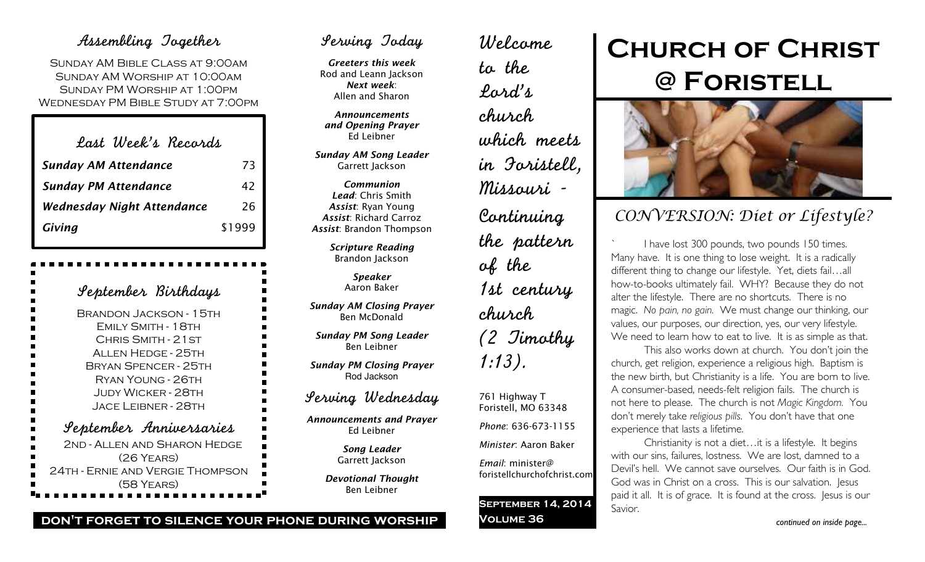### Assembling Together

Sunday AM Bible Class at 9:00am Sunday AM Worship at 10:00am Sunday PM Worship at 1:00pm Wednesday PM Bible Study at 7:00pm

| Last Week's Records               |        |
|-----------------------------------|--------|
| <b>Sunday AM Attendance</b>       | 73     |
| <b>Sunday PM Attendance</b>       | 42     |
| <b>Wednesday Night Attendance</b> | 26     |
| Giving                            | \$1999 |

| September Birthdays                           |
|-----------------------------------------------|
| <b>BRANDON JACKSON - 15TH</b>                 |
| EMILY SMITH - 18TH                            |
| CHRIS SMITH - 21 ST                           |
| <b>ALLEN HEDGE - 25TH</b>                     |
| <b>BRYAN SPENCER - 25TH</b>                   |
| $\overline{\phantom{a}}$<br>RYAN YOUNG - 26TH |
| <b>JUDY WICKER - 28TH</b>                     |
| l<br><b>JACE LEIBNER - 28TH</b>               |
| September Anniversaries                       |
| 2ND - ALLEN AND SHARON HEDGE                  |
| $(26$ YEARS)                                  |
| 24TH - ERNIE AND VERGIE THOMPSON              |
| (58 YEARS)                                    |

## Serving Today

*Greeters this week* Rod and Leann Jackson *Next week*: Allen and Sharon

*Announcements and Opening Prayer* Ed Leibner

*Sunday AM Song Leader* Garrett Jackson

*Communion Lead*: Chris Smith *Assist*: Ryan Young *Assist*: Richard Carroz *Assist*: Brandon Thompson

> *Scripture Reading* Brandon Jackson

> > *Speaker* Aaron Baker

*Sunday AM Closing Prayer* Ben McDonald

*Sunday PM Song Leader* Ben Leibner

*Sunday PM Closing Prayer* Rod Jackson

## Serving Wednesday

*Announcements and Prayer* Ed Leibner

> *Song Leader* Garrett Jackson

*Devotional Thought* Ben Leibner

Welcome to the Lord's church which meets in Foristell, Missouri - Continuing the pattern of the 1st century church (2 Timothy 1:13).

761 Highway T Foristell, MO 63348 *Phone*: 636-673-1155

*Minister*: Aaron Baker

*Email*: minister@ foristellchurchofchrist.com

**September 14, 2014 Volume 36**

# **Church of Christ @ Foristell**



# *CONVERSION: Diet or Lifestyle?*

I have lost 300 pounds, two pounds 150 times. Many have. It is one thing to lose weight. It is a radically different thing to change our lifestyle. Yet, diets fail…all how-to-books ultimately fail. WHY? Because they do not alter the lifestyle. There are no shortcuts. There is no magic. *No pain, no gain.* We must change our thinking, our values, our purposes, our direction, yes, our very lifestyle. We need to learn how to eat to live. It is as simple as that.

This also works down at church. You don't join the church, get religion, experience a religious high. Baptism is the new birth, but Christianity is a life. You are born to live. A consumer-based, needs-felt religion fails. The church is not here to please. The church is not *Magic Kingdom.* You don't merely take *religious pills*. You don't have that one experience that lasts a lifetime.

Christianity is not a diet…it is a lifestyle. It begins with our sins, failures, lostness. We are lost, damned to a Devil's hell. We cannot save ourselves. Our faith is in God. God was in Christ on a cross. This is our salvation. Jesus paid it all. It is of grace. It is found at the cross. Jesus is our Savior.

#### **don't forget to silence your phone during worship**

*continued on inside page...*